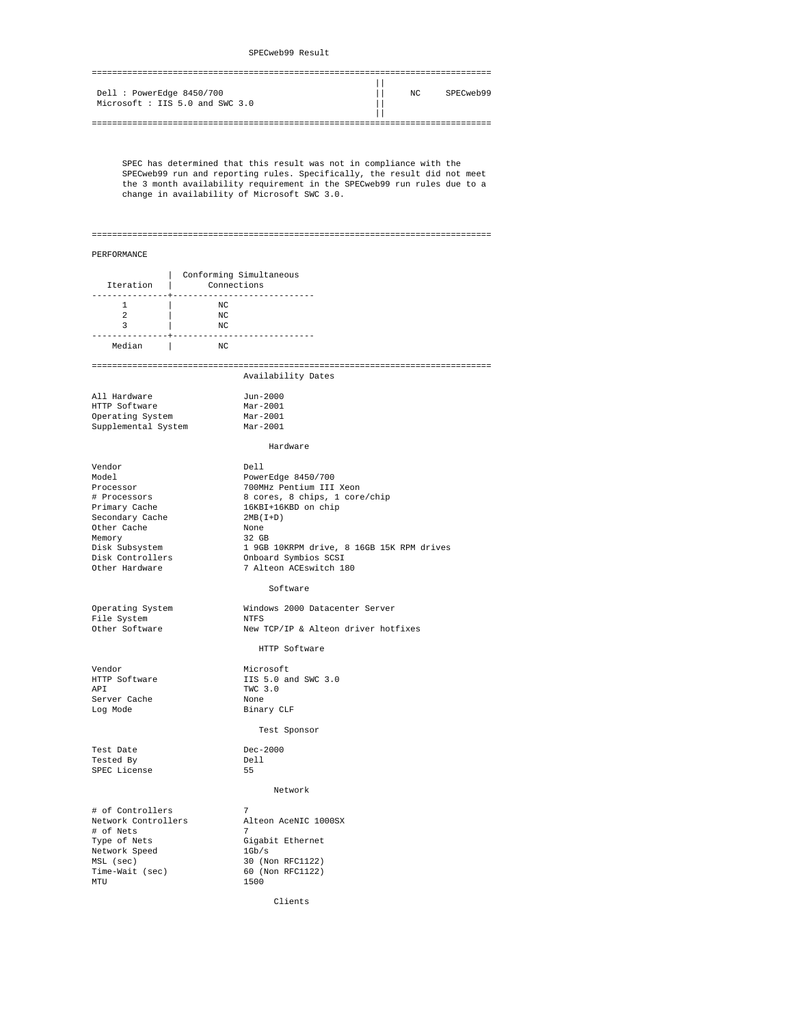| Dell : PowerEdge 8450/700      | NC | SPECweb99 |
|--------------------------------|----|-----------|
| Microsoft: IIS 5.0 and SWC 3.0 |    |           |
|                                |    |           |
|                                |    |           |

 SPEC has determined that this result was not in compliance with the SPECweb99 run and reporting rules. Specifically, the result did not meet the 3 month availability requirement in the SPECweb99 run rules due to a change in availability of Microsoft SWC 3.0.

## ===============================================================================

## PERFORMANCE

| Iteration   Connections                                                                                                                                           | Conforming Simultaneous                                                                |                                                                                                                                                                                                                                             |
|-------------------------------------------------------------------------------------------------------------------------------------------------------------------|----------------------------------------------------------------------------------------|---------------------------------------------------------------------------------------------------------------------------------------------------------------------------------------------------------------------------------------------|
| $\mathbb{R}$<br>$\mathbf{1}$<br>2<br>$\overline{\mathbf{3}}$                                                                                                      | NC<br>NC<br>$\overline{a}$ $\overline{b}$ $\overline{b}$ $\overline{b}$ $\overline{c}$ |                                                                                                                                                                                                                                             |
| Median                                                                                                                                                            | $_{\rm NC}$                                                                            |                                                                                                                                                                                                                                             |
|                                                                                                                                                                   |                                                                                        | Availability Dates                                                                                                                                                                                                                          |
| All Hardware<br>HTTP Software<br>Operating System<br>Supplemental System                                                                                          |                                                                                        | Jun-2000<br>$Mar-2001$<br>Mar-2001<br>Mar-2001                                                                                                                                                                                              |
|                                                                                                                                                                   |                                                                                        | Hardware                                                                                                                                                                                                                                    |
| Vendor<br>Model<br>Processor<br># Processors<br>Primary Cache<br>Secondary Cache<br>Other Cache<br>Memory<br>Disk Subsystem<br>Disk Controllers<br>Other Hardware |                                                                                        | Dell<br>PowerEdge 8450/700<br>700MHz Pentium III Xeon<br>8 cores, 8 chips, 1 core/chip<br>16KBI+16KBD on chip<br>$2MB(L+D)$<br>None<br>32 GB<br>1 9GB 10KRPM drive, 8 16GB 15K RPM drives<br>Onboard Symbios SCSI<br>7 Alteon ACEswitch 180 |
|                                                                                                                                                                   |                                                                                        | Software                                                                                                                                                                                                                                    |
| Operating System<br>File System<br>Other Software                                                                                                                 |                                                                                        | Windows 2000 Datacenter Server<br><b>NTFS</b><br>New TCP/IP & Alteon driver hotfixes                                                                                                                                                        |
|                                                                                                                                                                   |                                                                                        | HTTP Software                                                                                                                                                                                                                               |
| Vendor<br>HTTP Software<br>API<br>Server Cache<br>Log Mode                                                                                                        |                                                                                        | Microsoft<br>IIS 5.0 and SWC 3.0<br>TWC 3.0<br>None<br>Binary CLF                                                                                                                                                                           |
|                                                                                                                                                                   |                                                                                        | Test Sponsor                                                                                                                                                                                                                                |
| Test Date<br>Tested By<br>SPEC License                                                                                                                            |                                                                                        | Dec-2000<br>Dell<br>55                                                                                                                                                                                                                      |
|                                                                                                                                                                   |                                                                                        | Network                                                                                                                                                                                                                                     |
| # of Controllers<br>Network Controllers<br># of Nets<br>Type of Nets<br>Network Speed<br>MSL (sec)<br>Time-Wait (sec)<br>MTU                                      |                                                                                        | $7\phantom{.0}$<br>Alteon AceNIC 1000SX<br>7<br>Gigabit Ethernet<br>1Gb/s<br>30 (Non RFC1122)<br>60 (Non RFC1122)<br>1500                                                                                                                   |